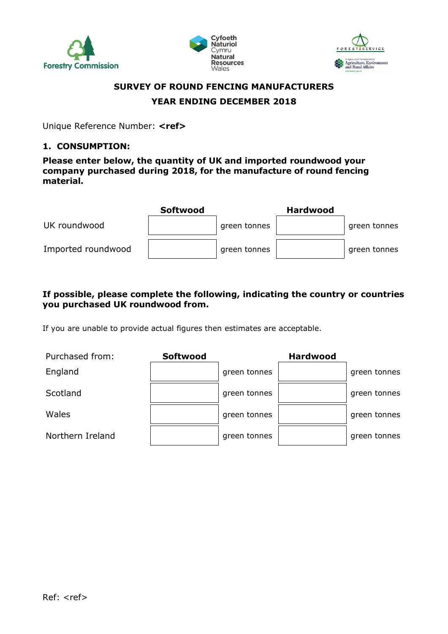





# **SURVEY OF ROUND FENCING MANUFACTURERS YEAR ENDING DECEMBER 2018**

Unique Reference Number: **<ref>**

#### **1. CONSUMPTION:**

**Please enter below, the quantity of UK and imported roundwood your company purchased during 2018, for the manufacture of round fencing material.**

|                    | <b>Softwood</b> |              | <b>Hardwood</b> |              |
|--------------------|-----------------|--------------|-----------------|--------------|
| UK roundwood       |                 | green tonnes |                 | green tonnes |
| Imported roundwood |                 | green tonnes |                 | green tonnes |

## **If possible, please complete the following, indicating the country or countries you purchased UK roundwood from.**

If you are unable to provide actual figures then estimates are acceptable.

| Purchased from:  | <b>Softwood</b> |              | <b>Hardwood</b> |              |
|------------------|-----------------|--------------|-----------------|--------------|
| England          |                 | green tonnes |                 | green tonnes |
| Scotland         |                 | green tonnes |                 | green tonnes |
| Wales            |                 | green tonnes |                 | green tonnes |
| Northern Ireland |                 | green tonnes |                 | green tonnes |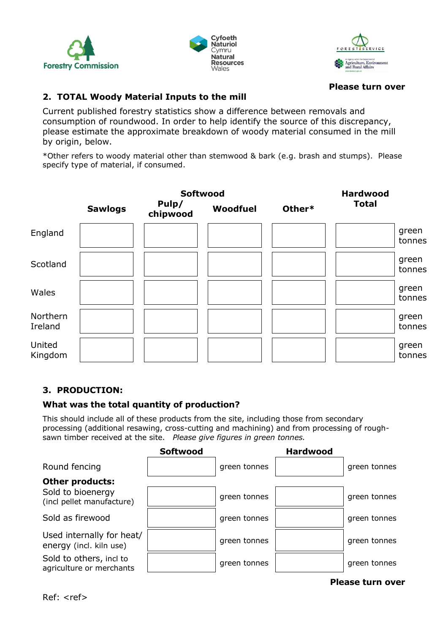





#### **Please turn over**

## **2. TOTAL Woody Material Inputs to the mill**

Current published forestry statistics show a difference between removals and consumption of roundwood. In order to help identify the source of this discrepancy, please estimate the approximate breakdown of woody material consumed in the mill by origin, below.

\*Other refers to woody material other than stemwood & bark (e.g. brash and stumps). Please specify type of material, if consumed.



## **3. PRODUCTION:**

## **What was the total quantity of production?**

This should include all of these products from the site, including those from secondary processing (additional resawing, cross-cutting and machining) and from processing of roughsawn timber received at the site. *Please give figures in green tonnes.*

|                                                      | <b>Softwood</b> |              | <b>Hardwood</b> |              |
|------------------------------------------------------|-----------------|--------------|-----------------|--------------|
| Round fencing                                        |                 | green tonnes |                 | green tonnes |
| Other products:                                      |                 |              |                 |              |
| Sold to bioenergy<br>(incl pellet manufacture)       |                 | green tonnes |                 | green tonnes |
| Sold as firewood                                     |                 | green tonnes |                 | green tonnes |
| Used internally for heat/<br>energy (incl. kiln use) |                 | green tonnes |                 | green tonnes |
| Sold to others, incl to<br>agriculture or merchants  |                 | green tonnes |                 | green tonnes |
|                                                      |                 |              |                 |              |

#### **Please turn over**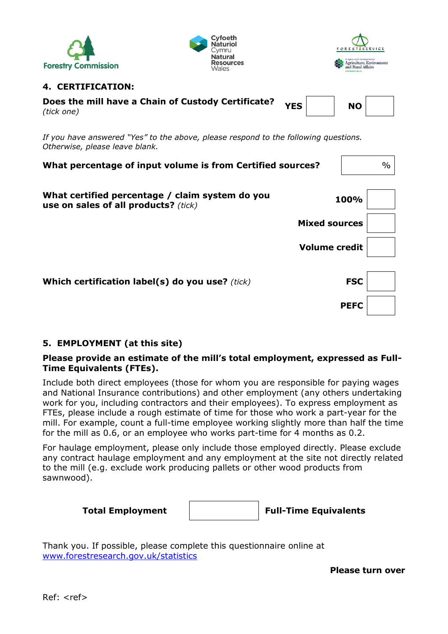





## **4. CERTIFICATION:**

| Does the mill have a Chain of Custody Certificate?<br>(tick one) | YES | <b>NO</b> |  |
|------------------------------------------------------------------|-----|-----------|--|
|                                                                  |     |           |  |

*If you have answered "Yes" to the above, please respond to the following questions. Otherwise, please leave blank.*

| What percentage of input volume is from Certified sources?                              |                      | $\frac{0}{0}$ |
|-----------------------------------------------------------------------------------------|----------------------|---------------|
| What certified percentage / claim system do you<br>use on sales of all products? (tick) | 100%                 |               |
|                                                                                         | <b>Mixed sources</b> |               |
|                                                                                         | <b>Volume credit</b> |               |
|                                                                                         |                      |               |
| Which certification label(s) do you use? (tick)                                         | <b>FSC</b>           |               |
|                                                                                         | <b>PEFC</b>          |               |

# **5. EMPLOYMENT (at this site)**

## **Please provide an estimate of the mill's total employment, expressed as Full-Time Equivalents (FTEs).**

Include both direct employees (those for whom you are responsible for paying wages and National Insurance contributions) and other employment (any others undertaking work for you, including contractors and their employees). To express employment as FTEs, please include a rough estimate of time for those who work a part-year for the mill. For example, count a full-time employee working slightly more than half the time for the mill as 0.6, or an employee who works part-time for 4 months as 0.2.

For haulage employment, please only include those employed directly. Please exclude any contract haulage employment and any employment at the site not directly related to the mill (e.g. exclude work producing pallets or other wood products from sawnwood).

Thank you. If possible, please complete this questionnaire online at [www.forestresearch.gov.uk/statistics](http://www.forestresearch.gov.uk/statistics)

**Please turn over**